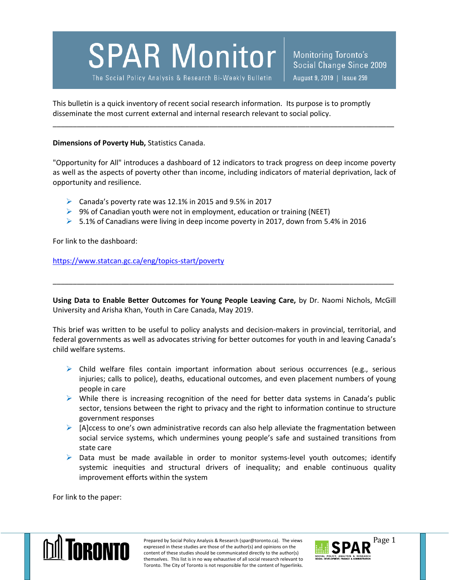**SPAR Monitor** 

The Social Policy Analysis & Research Bi-Weekly Bulletin

Monitoring Toronto's Social Change Since 2009 August 9, 2019 | Issue 259

This bulletin is a quick inventory of recent social research information. Its purpose is to promptly disseminate the most current external and internal research relevant to social policy.

**Dimensions of Poverty Hub,** Statistics Canada.

"Opportunity for All" introduces a dashboard of 12 indicators to track progress on deep income poverty as well as the aspects of poverty other than income, including indicators of material deprivation, lack of opportunity and resilience.

\_\_\_\_\_\_\_\_\_\_\_\_\_\_\_\_\_\_\_\_\_\_\_\_\_\_\_\_\_\_\_\_\_\_\_\_\_\_\_\_\_\_\_\_\_\_\_\_\_\_\_\_\_\_\_\_\_\_\_\_\_\_\_\_\_\_\_\_\_\_\_\_\_\_\_\_\_\_\_\_\_\_\_\_\_

- $\triangleright$  Canada's poverty rate was 12.1% in 2015 and 9.5% in 2017
- $\triangleright$  9% of Canadian youth were not in employment, education or training (NEET)
- $> 5.1\%$  of Canadians were living in deep income poverty in 2017, down from 5.4% in 2016

For link to the dashboard:

<https://www.statcan.gc.ca/eng/topics-start/poverty>

**Using Data to Enable Better Outcomes for Young People Leaving Care,** by Dr. Naomi Nichols, McGill University and Arisha Khan, Youth in Care Canada, May 2019.

\_\_\_\_\_\_\_\_\_\_\_\_\_\_\_\_\_\_\_\_\_\_\_\_\_\_\_\_\_\_\_\_\_\_\_\_\_\_\_\_\_\_\_\_\_\_\_\_\_\_\_\_\_\_\_\_\_\_\_\_\_\_\_\_\_\_\_\_\_\_\_\_\_\_\_\_\_\_\_\_\_\_\_\_\_

This brief was written to be useful to policy analysts and decision-makers in provincial, territorial, and federal governments as well as advocates striving for better outcomes for youth in and leaving Canada's child welfare systems.

- $\triangleright$  Child welfare files contain important information about serious occurrences (e.g., serious injuries; calls to police), deaths, educational outcomes, and even placement numbers of young people in care
- $\triangleright$  While there is increasing recognition of the need for better data systems in Canada's public sector, tensions between the right to privacy and the right to information continue to structure government responses
- $\triangleright$  [A]ccess to one's own administrative records can also help alleviate the fragmentation between social service systems, which undermines young people's safe and sustained transitions from state care
- $\triangleright$  Data must be made available in order to monitor systems-level youth outcomes; identify systemic inequities and structural drivers of inequality; and enable continuous quality improvement efforts within the system

For link to the paper:



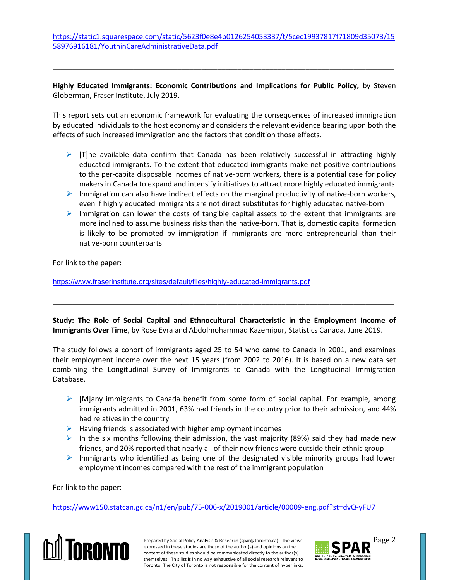[https://static1.squarespace.com/static/5623f0e8e4b0126254053337/t/5cec19937817f71809d35073/15](https://static1.squarespace.com/static/5623f0e8e4b0126254053337/t/5cec19937817f71809d35073/1558976916181/YouthinCareAdministrativeData.pdf) [58976916181/YouthinCareAdministrativeData.pdf](https://static1.squarespace.com/static/5623f0e8e4b0126254053337/t/5cec19937817f71809d35073/1558976916181/YouthinCareAdministrativeData.pdf)

**Highly Educated Immigrants: Economic Contributions and Implications for Public Policy,** by Steven Globerman, Fraser Institute, July 2019.

\_\_\_\_\_\_\_\_\_\_\_\_\_\_\_\_\_\_\_\_\_\_\_\_\_\_\_\_\_\_\_\_\_\_\_\_\_\_\_\_\_\_\_\_\_\_\_\_\_\_\_\_\_\_\_\_\_\_\_\_\_\_\_\_\_\_\_\_\_\_\_\_\_\_\_\_\_\_\_\_\_\_\_\_\_

This report sets out an economic framework for evaluating the consequences of increased immigration by educated individuals to the host economy and considers the relevant evidence bearing upon both the effects of such increased immigration and the factors that condition those effects.

- $\triangleright$  [T]he available data confirm that Canada has been relatively successful in attracting highly educated immigrants. To the extent that educated immigrants make net positive contributions to the per-capita disposable incomes of native-born workers, there is a potential case for policy makers in Canada to expand and intensify initiatives to attract more highly educated immigrants
- $\triangleright$  Immigration can also have indirect effects on the marginal productivity of native-born workers, even if highly educated immigrants are not direct substitutes for highly educated native-born
- $\triangleright$  Immigration can lower the costs of tangible capital assets to the extent that immigrants are more inclined to assume business risks than the native-born. That is, domestic capital formation is likely to be promoted by immigration if immigrants are more entrepreneurial than their native-born counterparts

For link to the paper:

<https://www.fraserinstitute.org/sites/default/files/highly-educated-immigrants.pdf>

**Study: The Role of Social Capital and Ethnocultural Characteristic in the Employment Income of Immigrants Over Time**, by Rose Evra and Abdolmohammad Kazemipur, Statistics Canada, June 2019.

\_\_\_\_\_\_\_\_\_\_\_\_\_\_\_\_\_\_\_\_\_\_\_\_\_\_\_\_\_\_\_\_\_\_\_\_\_\_\_\_\_\_\_\_\_\_\_\_\_\_\_\_\_\_\_\_\_\_\_\_\_\_\_\_\_\_\_\_\_\_\_\_\_\_\_\_\_\_\_\_\_\_\_\_\_

The study follows a cohort of immigrants aged 25 to 54 who came to Canada in 2001, and examines their employment income over the next 15 years (from 2002 to 2016). It is based on a new data set combining the Longitudinal Survey of Immigrants to Canada with the Longitudinal Immigration Database.

- $\triangleright$  [M]any immigrants to Canada benefit from some form of social capital. For example, among immigrants admitted in 2001, 63% had friends in the country prior to their admission, and 44% had relatives in the country
- $\triangleright$  Having friends is associated with higher employment incomes
- In the six months following their admission, the vast majority (89%) said they had made new friends, and 20% reported that nearly all of their new friends were outside their ethnic group
- $\triangleright$  Immigrants who identified as being one of the designated visible minority groups had lower employment incomes compared with the rest of the immigrant population

For link to the paper:

<https://www150.statcan.gc.ca/n1/en/pub/75-006-x/2019001/article/00009-eng.pdf?st=dvQ-yFU7>